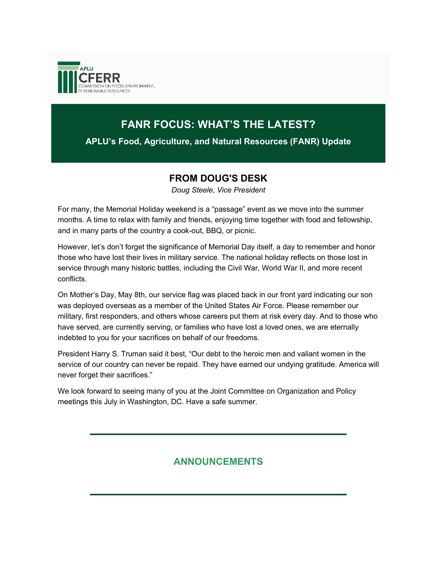

# **FANR FOCUS: WHAT'S THE LATEST?**

**APLU's Food, Agriculture, and Natural Resources (FANR) Update**

### **FROM DOUG'S DESK**

*Doug Steele, Vice President*

For many, the Memorial Holiday weekend is a "passage" event as we move into the summer months. A time to relax with family and friends, enjoying time together with food and fellowship, and in many parts of the country a cook-out, BBQ, or picnic.

However, let's don't forget the significance of Memorial Day itself, a day to remember and honor those who have lost their lives in military service. The national holiday reflects on those lost in service through many historic battles, including the Civil War, World War II, and more recent conflicts.

On Mother's Day, May 8th, our service flag was placed back in our front yard indicating our son was deployed overseas as a member of the United States Air Force. Please remember our military, first responders, and others whose careers put them at risk every day. And to those who have served, are currently serving, or families who have lost a loved ones, we are eternally indebted to you for your sacrifices on behalf of our freedoms.

President Harry S. Truman said it best, "Our debt to the heroic men and valiant women in the service of our country can never be repaid. They have earned our undying gratitude. America will never forget their sacrifices."

We look forward to seeing many of you at the Joint Committee on Organization and Policy meetings this July in Washington, DC. Have a safe summer.

## **ANNOUNCEMENTS**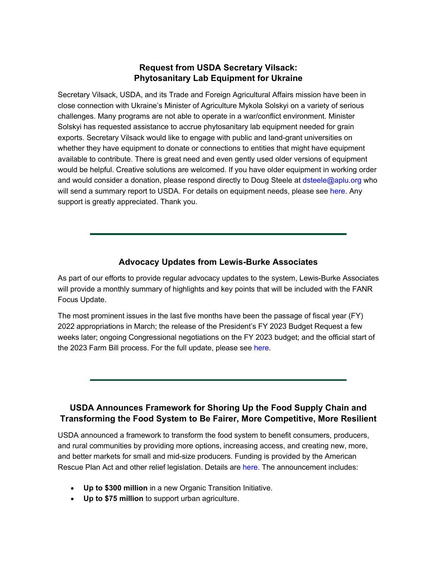### **Request from USDA Secretary Vilsack: Phytosanitary Lab Equipment for Ukraine**

Secretary Vilsack, USDA, and its Trade and Foreign Agricultural Affairs mission have been in close connection with Ukraine's Minister of Agriculture Mykola Solskyi on a variety of serious challenges. Many programs are not able to operate in a war/conflict environment. Minister Solskyi has requested assistance to accrue phytosanitary lab equipment needed for grain exports. Secretary Vilsack would like to engage with public and land-grant universities on whether they have equipment to donate or connections to entities that might have equipment available to contribute. There is great need and even gently used older versions of equipment would be helpful. Creative solutions are welcomed. If you have older equipment in working order and would consider a donation, please respond directly to Doug Steele at [dsteele@aplu.org](http://go.aplu.org/NjAzLVVSVy0xMjcAAAGE3TlW2BhTtYvdw1zuvtDDvPpRnhOudGNirZd4Lemdk2Wzt4A7quGm-Y0jZxw4JHpau1I4rxc=) who will send a summary report to USDA. For details on equipment needs, please see [here.](http://go.aplu.org/NjAzLVVSVy0xMjcAAAGE3TlW2A91dqyLImshqgPqo4anGmki3db3RmxbBeweueIwV27oxb52pr5rIedo3gv30WzGuqc=) Any support is greatly appreciated. Thank you.

### **Advocacy Updates from Lewis-Burke Associates**

As part of our efforts to provide regular advocacy updates to the system, Lewis-Burke Associates will provide a monthly summary of highlights and key points that will be included with the FANR Focus Update.

The most prominent issues in the last five months have been the passage of fiscal year (FY) 2022 appropriations in March; the release of the President's FY 2023 Budget Request a few weeks later; ongoing Congressional negotiations on the FY 2023 budget; and the official start of the 2023 Farm Bill process. For the full update, please see [here](http://go.aplu.org/NjAzLVVSVy0xMjcAAAGE3TlW2GglVBAHoOF3HeCcQpIc6zloHVYj7fPMa2x1h6mn9f-6WKLX3Zsm-tyWgYfi9ow97wU=)*.*

### **USDA Announces Framework for Shoring Up the Food Supply Chain and Transforming the Food System to Be Fairer, More Competitive, More Resilient**

USDA announced a framework to transform the food system to benefit consumers, producers, and rural communities by providing more options, increasing access, and creating new, more, and better markets for small and mid-size producers. Funding is provided by the American Rescue Plan Act and other relief legislation. Details are [here.](http://go.aplu.org/NjAzLVVSVy0xMjcAAAGE3TlW2IepZ_0xoMoXVKzHVm04xG6Vb0MeqCvVVCVtNp-Vq1SLlbAxr3UZn-XrIJw2GNHjTJg=) The announcement includes:

- **Up to \$300 million** in a new Organic Transition Initiative.
- **Up to \$75 million** to support urban agriculture.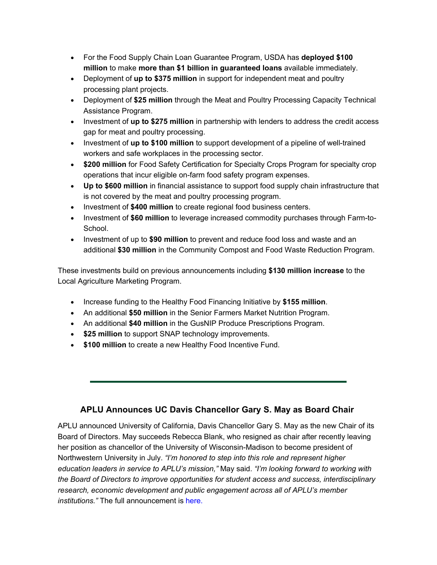- For the Food Supply Chain Loan Guarantee Program, USDA has **deployed \$100 million** to make **more than \$1 billion in guaranteed loans** available immediately.
- Deployment of **up to \$375 million** in support for independent meat and poultry processing plant projects.
- Deployment of **\$25 million** through the Meat and Poultry Processing Capacity Technical Assistance Program.
- Investment of **up to \$275 million** in partnership with lenders to address the credit access gap for meat and poultry processing.
- Investment of **up to \$100 million** to support development of a pipeline of well-trained workers and safe workplaces in the processing sector.
- **\$200 million** for Food Safety Certification for Specialty Crops Program for specialty crop operations that incur eligible on-farm food safety program expenses.
- **Up to \$600 million** in financial assistance to support food supply chain infrastructure that is not covered by the meat and poultry processing program.
- Investment of **\$400 million** to create regional food business centers.
- Investment of **\$60 million** to leverage increased commodity purchases through Farm-to-School.
- Investment of up to **\$90 million** to prevent and reduce food loss and waste and an additional **\$30 million** in the Community Compost and Food Waste Reduction Program.

These investments build on previous announcements including **\$130 million increase** to the Local Agriculture Marketing Program.

- Increase funding to the Healthy Food Financing Initiative by **\$155 million**.
- An additional **\$50 million** in the Senior Farmers Market Nutrition Program.
- An additional **\$40 million** in the GusNIP Produce Prescriptions Program.
- **\$25 million** to support SNAP technology improvements.
- **\$100 million** to create a new Healthy Food Incentive Fund.

### **APLU Announces UC Davis Chancellor Gary S. May as Board Chair**

APLU announced University of California, Davis Chancellor Gary S. May as the new Chair of its Board of Directors. May succeeds Rebecca Blank, who resigned as chair after recently leaving her position as chancellor of the University of Wisconsin-Madison to become president of Northwestern University in July. *"I'm honored to step into this role and represent higher education leaders in service to APLU's mission,"* May said. *"I'm looking forward to working with the Board of Directors to improve opportunities for student access and success, interdisciplinary research, economic development and public engagement across all of APLU's member institutions."* The full announcement is [here.](http://go.aplu.org/NjAzLVVSVy0xMjcAAAGE3TlW2JPMdZ9_eztcy0VoOoA51xnOt8szQ83wNV0xVa7HeYgFOB2fpLpkeTHYxMFCut9i4Gg=)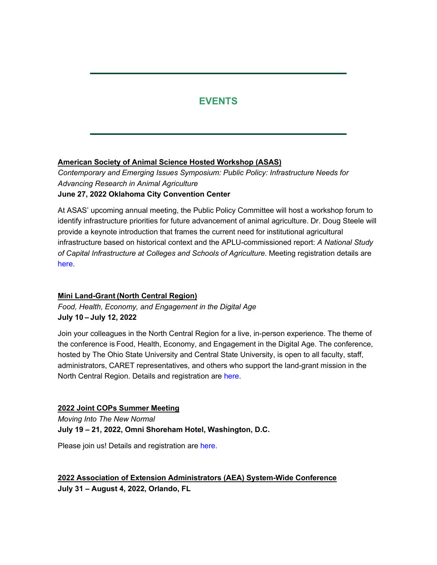# **EVENTS**

#### **American Society of Animal Science Hosted Workshop (ASAS)**

*Contemporary and Emerging Issues Symposium: Public Policy: Infrastructure Needs for Advancing Research in Animal Agriculture* **June 27, 2022 Oklahoma City Convention Center**

At ASAS' upcoming annual meeting, the Public Policy Committee will host a workshop forum to identify infrastructure priorities for future advancement of animal agriculture. Dr. Doug Steele will provide a keynote introduction that frames the current need for institutional agricultural infrastructure based on historical context and the APLU-commissioned report: *A National Study of Capital Infrastructure at Colleges and Schools of Agriculture.* Meeting registration details are [here.](http://go.aplu.org/NjAzLVVSVy0xMjcAAAGE3TlW2BukrwvX-ZZGEGcO4nbaguGL5M8KP4ckdGQ9JU_xQRLndN8d_OCp4T6UfVgq8Flc3QQ=)

#### **Mini Land-Grant (North Central Region)**

*Food, Health, Economy, and Engagement in the Digital Age* **July 10 – July 12, 2022**

Join your colleagues in the North Central Region for a live, in-person experience. The theme of the conference is Food, Health, Economy, and Engagement in the Digital Age. The conference, hosted by The Ohio State University and Central State University, is open to all faculty, staff, administrators, CARET representatives, and others who support the land-grant mission in the North Central Region. Details and registration are [here.](http://go.aplu.org/NjAzLVVSVy0xMjcAAAGE3TlW2Jkfa55OzBTHlxqspEKPtqDnaLpDPVpnnraLkXqxZfJRPT_Sxl9z5KPxowVMXBfPMuU=)

#### **2022 Joint COPs Summer Meeting**

*Moving Into The New Normal* **July 19 – 21, 2022, Omni Shoreham Hotel, Washington, D.C.**

Please join us! Details and registration are [here.](http://go.aplu.org/NjAzLVVSVy0xMjcAAAGE3TlW2H1X_nC3cTf0_-eJOLEIiT9mN2zIZr2o5BqkYSxvmI_6NI8nqt0poWSj5w_3w4f7_Jw=)

**2022 Association of Extension Administrators (AEA) System-Wide Conference July 31 – August 4, 2022, Orlando, FL**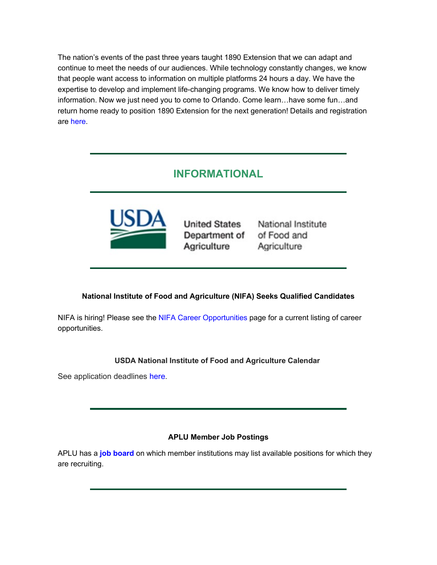The nation's events of the past three years taught 1890 Extension that we can adapt and continue to meet the needs of our audiences. While technology constantly changes, we know that people want access to information on multiple platforms 24 hours a day. We have the expertise to develop and implement life-changing programs. We know how to deliver timely information. Now we just need you to come to Orlando. Come learn…have some fun…and return home ready to position 1890 Extension for the next generation! Details and registration are [here.](http://go.aplu.org/NjAzLVVSVy0xMjcAAAGE3TlW2GHS77nI0Wha4Oe1kINXhloEzx85rFM1UXnRRV2TpmoyRzO0zXfbTg1lCDSDq0g0QvE=)

# **INFORMATIONAL**



Department of Agriculture

**United States National Institute** of Food and Agriculture

#### **National Institute of Food and Agriculture (NIFA) Seeks Qualified Candidates**

NIFA is hiring! Please see the [NIFA Career Opportunities](http://go.aplu.org/NjAzLVVSVy0xMjcAAAGE3TlW2F6fdxScToLYu0bws_N0yqxnoeP6-dor1RV3V7H010VEoVGU7hO39ltPgu4LvzR2g4U=) page for a current listing of career opportunities.

#### **USDA National Institute of Food and Agriculture Calendar**

See application deadlines [here.](http://go.aplu.org/NjAzLVVSVy0xMjcAAAGE3TlW2KC0qq1okku1q9v4yxbRPdvTYebTy6iEtDbS_FQo8O_zLlgrvo5tRwwvnQBFFXHXbKE=)

#### **APLU Member Job Postings**

APLU has a **[job board](http://go.aplu.org/NjAzLVVSVy0xMjcAAAGE3TlW2BhF-Re-hdztAxvEuO2aR8DqrGG0lFdgNpax87-P3ZVZvlD6phcCdSft5YIglFFQNqU=)** on which member institutions may list available positions for which they are recruiting.